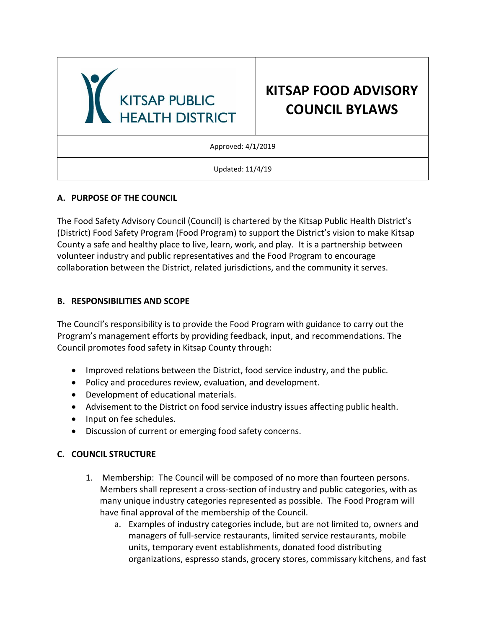

# **A. PURPOSE OF THE COUNCIL**

The Food Safety Advisory Council (Council) is chartered by the Kitsap Public Health District's (District) Food Safety Program (Food Program) to support the District's vision to make Kitsap County a safe and healthy place to live, learn, work, and play. It is a partnership between volunteer industry and public representatives and the Food Program to encourage collaboration between the District, related jurisdictions, and the community it serves.

# **B. RESPONSIBILITIES AND SCOPE**

The Council's responsibility is to provide the Food Program with guidance to carry out the Program's management efforts by providing feedback, input, and recommendations. The Council promotes food safety in Kitsap County through:

- Improved relations between the District, food service industry, and the public.
- Policy and procedures review, evaluation, and development.
- Development of educational materials.
- Advisement to the District on food service industry issues affecting public health.
- Input on fee schedules.
- Discussion of current or emerging food safety concerns.

# **C. COUNCIL STRUCTURE**

- 1. Membership: The Council will be composed of no more than fourteen persons. Members shall represent a cross-section of industry and public categories, with as many unique industry categories represented as possible. The Food Program will have final approval of the membership of the Council.
	- a. Examples of industry categories include, but are not limited to, owners and managers of full-service restaurants, limited service restaurants, mobile units, temporary event establishments, donated food distributing organizations, espresso stands, grocery stores, commissary kitchens, and fast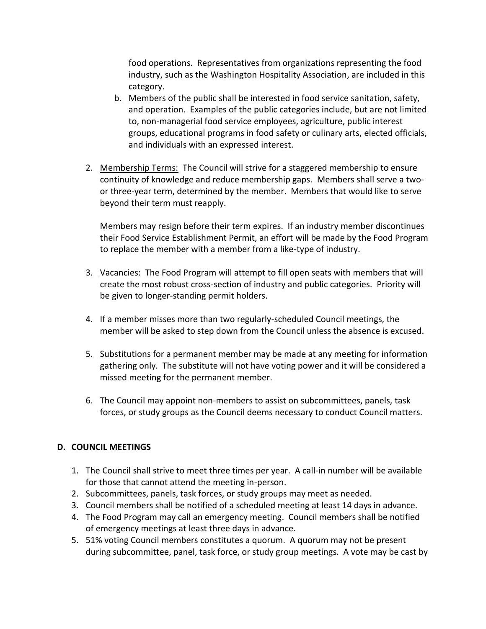food operations. Representatives from organizations representing the food industry, such as the Washington Hospitality Association, are included in this category.

- b. Members of the public shall be interested in food service sanitation, safety, and operation. Examples of the public categories include, but are not limited to, non-managerial food service employees, agriculture, public interest groups, educational programs in food safety or culinary arts, elected officials, and individuals with an expressed interest.
- 2. Membership Terms: The Council will strive for a staggered membership to ensure continuity of knowledge and reduce membership gaps. Members shall serve a twoor three-year term, determined by the member. Members that would like to serve beyond their term must reapply.

Members may resign before their term expires. If an industry member discontinues their Food Service Establishment Permit, an effort will be made by the Food Program to replace the member with a member from a like-type of industry.

- 3. Vacancies: The Food Program will attempt to fill open seats with members that will create the most robust cross-section of industry and public categories. Priority will be given to longer-standing permit holders.
- 4. If a member misses more than two regularly-scheduled Council meetings, the member will be asked to step down from the Council unless the absence is excused.
- 5. Substitutions for a permanent member may be made at any meeting for information gathering only. The substitute will not have voting power and it will be considered a missed meeting for the permanent member.
- 6. The Council may appoint non-members to assist on subcommittees, panels, task forces, or study groups as the Council deems necessary to conduct Council matters.

# **D. COUNCIL MEETINGS**

- 1. The Council shall strive to meet three times per year. A call-in number will be available for those that cannot attend the meeting in-person.
- 2. Subcommittees, panels, task forces, or study groups may meet as needed.
- 3. Council members shall be notified of a scheduled meeting at least 14 days in advance.
- 4. The Food Program may call an emergency meeting. Council members shall be notified of emergency meetings at least three days in advance.
- 5. 51% voting Council members constitutes a quorum. A quorum may not be present during subcommittee, panel, task force, or study group meetings. A vote may be cast by